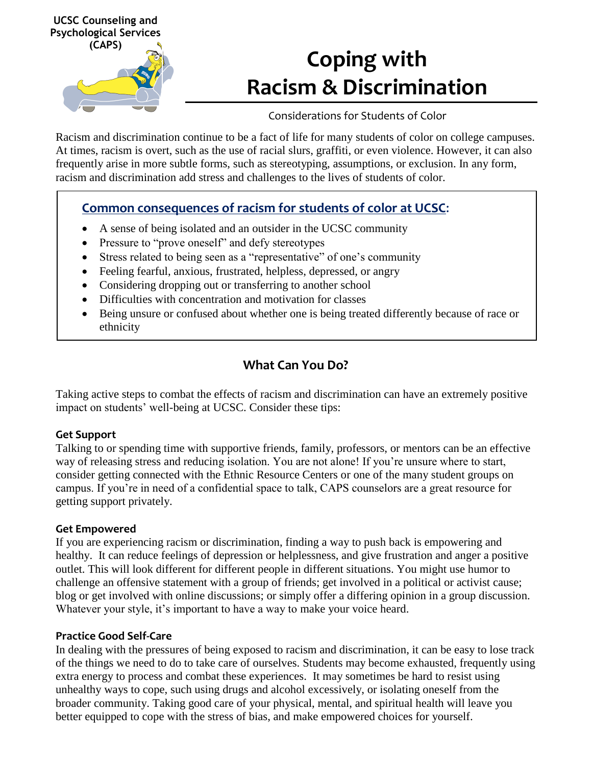

# **Coping with Racism & Discrimination**

## Considerations for Students of Color

Racism and discrimination continue to be a fact of life for many students of color on college campuses. At times, racism is overt, such as the use of racial slurs, graffiti, or even violence. However, it can also frequently arise in more subtle forms, such as stereotyping, assumptions, or exclusion. In any form, racism and discrimination add stress and challenges to the lives of students of color.

## **Common consequences of racism for students of color at UCSC**:

- A sense of being isolated and an outsider in the UCSC community
- Pressure to "prove oneself" and defy stereotypes
- Stress related to being seen as a "representative" of one's community
- Feeling fearful, anxious, frustrated, helpless, depressed, or angry
- Considering dropping out or transferring to another school
- Difficulties with concentration and motivation for classes
- Being unsure or confused about whether one is being treated differently because of race or ethnicity

# **What Can You Do?**

Taking active steps to combat the effects of racism and discrimination can have an extremely positive impact on students' well-being at UCSC. Consider these tips:

#### **Get Support**

Talking to or spending time with supportive friends, family, professors, or mentors can be an effective way of releasing stress and reducing isolation. You are not alone! If you're unsure where to start, consider getting connected with the Ethnic Resource Centers or one of the many student groups on campus. If you're in need of a confidential space to talk, CAPS counselors are a great resource for getting support privately.

## **Get Empowered**

If you are experiencing racism or discrimination, finding a way to push back is empowering and healthy. It can reduce feelings of depression or helplessness, and give frustration and anger a positive outlet. This will look different for different people in different situations. You might use humor to challenge an offensive statement with a group of friends; get involved in a political or activist cause; blog or get involved with online discussions; or simply offer a differing opinion in a group discussion. Whatever your style, it's important to have a way to make your voice heard.

## **Practice Good Self-Care**

In dealing with the pressures of being exposed to racism and discrimination, it can be easy to lose track of the things we need to do to take care of ourselves. Students may become exhausted, frequently using extra energy to process and combat these experiences. It may sometimes be hard to resist using unhealthy ways to cope, such using drugs and alcohol excessively, or isolating oneself from the broader community. Taking good care of your physical, mental, and spiritual health will leave you better equipped to cope with the stress of bias, and make empowered choices for yourself.